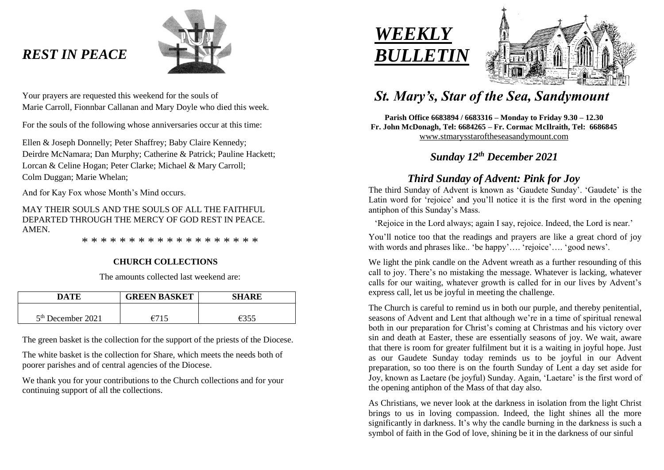# *REST IN PEACE*



Your prayers are requested this weekend for the souls of Marie Carroll, Fionnbar Callanan and Mary Doyle who died this week.

For the souls of the following whose anniversaries occur at this time:

Ellen & Joseph Donnelly; Peter Shaffrey; Baby Claire Kennedy; Deirdre McNamara; Dan Murphy; Catherine & Patrick; Pauline Hackett; Lorcan & Celine Hogan; Peter Clarke; Michael & Mary Carroll; Colm Duggan; Marie Whelan;

And for Kay Fox whose Month's Mind occurs.

MAY THEIR SOULS AND THE SOULS OF ALL THE FAITHFUL DEPARTED THROUGH THE MERCY OF GOD REST IN PEACE. AMEN.

\* \* \* \* \* \* \* \* \* \* \* \* \* \* \* \* \* \* \*

## **CHURCH COLLECTIONS**

The amounts collected last weekend are:

| DATE                | <b>GREEN BASKET</b> | <b>SHARE</b> |
|---------------------|---------------------|--------------|
| $5th$ December 2021 | $\epsilon$ 711      | 6355         |

The green basket is the collection for the support of the priests of the Diocese.

The white basket is the collection for Share, which meets the needs both of poorer parishes and of central agencies of the Diocese.

We thank you for your contributions to the Church collections and for your continuing support of all the collections.





# *St. Mary's, Star of the Sea, Sandymount*

**Parish Office 6683894 / 6683316 – Monday to Friday 9.30 – 12.30 Fr. John McDonagh, Tel: 6684265 – Fr. Cormac McIlraith, Tel: 6686845** [www.stmarysstaroftheseasandymount.com](http://www.stmarysstaroftheseasandymount.com/)

# *Sunday 12th December 2021*

# *Third Sunday of Advent: Pink for Joy*

The third Sunday of Advent is known as 'Gaudete Sunday'. 'Gaudete' is the Latin word for 'rejoice' and you'll notice it is the first word in the opening antiphon of this Sunday's Mass.

'Rejoice in the Lord always; again I say, rejoice. Indeed, the Lord is near.'

You'll notice too that the readings and prayers are like a great chord of joy with words and phrases like.. 'be happy'…. 'rejoice'…. 'good news'.

We light the pink candle on the Advent wreath as a further resounding of this call to joy. There's no mistaking the message. Whatever is lacking, whatever calls for our waiting, whatever growth is called for in our lives by Advent's express call, let us be joyful in meeting the challenge.

The Church is careful to remind us in both our purple, and thereby penitential, seasons of Advent and Lent that although we're in a time of spiritual renewal both in our preparation for Christ's coming at Christmas and his victory over sin and death at Easter, these are essentially seasons of joy. We wait, aware that there is room for greater fulfilment but it is a waiting in joyful hope. Just as our Gaudete Sunday today reminds us to be joyful in our Advent preparation, so too there is on the fourth Sunday of Lent a day set aside for Joy, known as Laetare (be joyful) Sunday. Again, 'Laetare' is the first word of the opening antiphon of the Mass of that day also.

As Christians, we never look at the darkness in isolation from the light Christ brings to us in loving compassion. Indeed, the light shines all the more significantly in darkness. It's why the candle burning in the darkness is such a symbol of faith in the God of love, shining be it in the darkness of our sinful